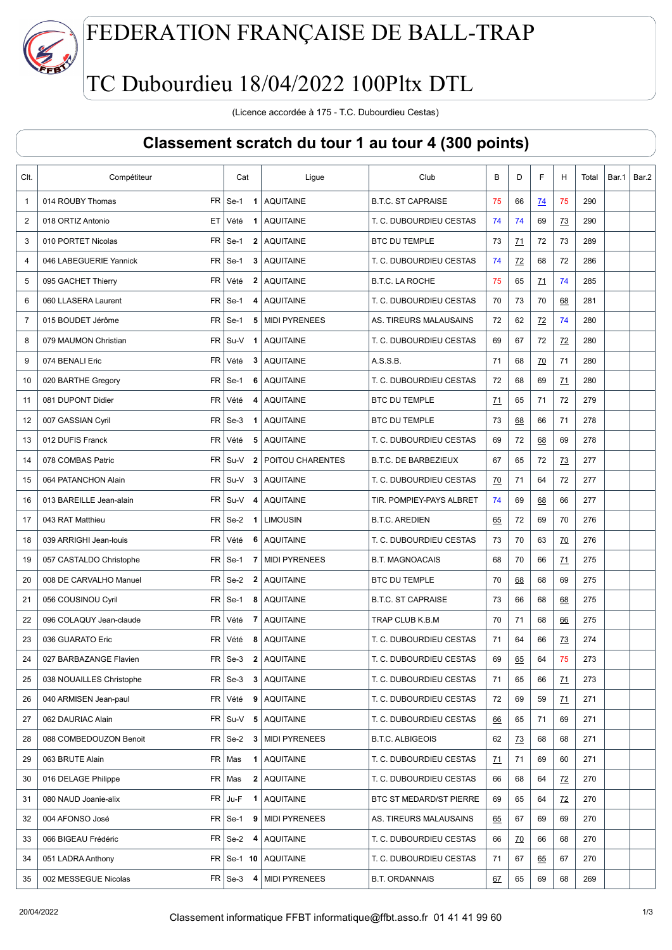

## FEDERATION FRANÇAISE DE BALL-TRAP

## TC Dubourdieu 18/04/2022 100Pltx DTL

(Licence accordée à 175 - T.C. Dubourdieu Cestas)

## Classement scratch du tour 1 au tour 4 (300 points)

| Clt.           | Compétiteur                          | Cat                                  | Ligue                     | Club                        | B               | D         | F              | H         | Total | Bar.1 | Bar.2 |
|----------------|--------------------------------------|--------------------------------------|---------------------------|-----------------------------|-----------------|-----------|----------------|-----------|-------|-------|-------|
| $\mathbf{1}$   | 014 ROUBY Thomas                     | $FR$ Se-1<br>$\mathbf 1$             | <b>AQUITAINE</b>          | <b>B.T.C. ST CAPRAISE</b>   | 75              | 66        | <u>74</u>      | 75        | 290   |       |       |
| 2              | 018 ORTIZ Antonio                    | ET Vété<br>-1                        | <b>AQUITAINE</b>          | T. C. DUBOURDIEU CESTAS     | 74              | 74        | 69             | <u>73</u> | 290   |       |       |
| 3              | 010 PORTET Nicolas                   | $FR$ Se-1<br>$\overline{2}$          | <b>AQUITAINE</b>          | <b>BTC DU TEMPLE</b>        | 73              | <u>71</u> | 72             | 73        | 289   |       |       |
| 4              | FR  <br>046 LABEGUERIE Yannick       | Se-1<br>3                            | <b>AQUITAINE</b>          | T. C. DUBOURDIEU CESTAS     | 74              | 72        | 68             | 72        | 286   |       |       |
| 5              | <b>FR</b><br>095 GACHET Thierry      | Vété<br>$\mathbf{2}$                 | <b>AQUITAINE</b>          | <b>B.T.C. LA ROCHE</b>      | 75              | 65        | 71             | 74        | 285   |       |       |
| 6              | 060 LLASERA Laurent                  | $FR \mid$ Se-1<br>4                  | <b>AQUITAINE</b>          | T. C. DUBOURDIEU CESTAS     | 70              | 73        | 70             | 68        | 281   |       |       |
| $\overline{7}$ | 015 BOUDET Jérôme                    | $FR$ Se-1                            | 5   MIDI PYRENEES         | AS. TIREURS MALAUSAINS      | 72              | 62        | $\frac{72}{2}$ | 74        | 280   |       |       |
| 8              | 079 MAUMON Christian                 | $FR$ Su-V 1                          | <b>AQUITAINE</b>          | T. C. DUBOURDIEU CESTAS     | 69              | 67        | 72             | 72        | 280   |       |       |
| 9              | FR.<br>074 BENALI Eric               | Vété<br>3                            | <b>AQUITAINE</b>          | A.S.S.B.                    | 71              | 68        | <u>70</u>      | 71        | 280   |       |       |
| 10             | FR.<br>020 BARTHE Gregory            | $Se-1$<br>6                          | <b>AQUITAINE</b>          | T. C. DUBOURDIEU CESTAS     | 72              | 68        | 69             | 71        | 280   |       |       |
| 11             | <b>FR</b><br>081 DUPONT Didier       | Vété<br>4                            | <b>AQUITAINE</b>          | <b>BTC DU TEMPLE</b>        | 71              | 65        | 71             | 72        | 279   |       |       |
| 12             | FR <sub>1</sub><br>007 GASSIAN Cyril | $Se-3$<br>$\mathbf{1}$               | <b>AQUITAINE</b>          | <b>BTC DU TEMPLE</b>        | 73              | 68        | 66             | 71        | 278   |       |       |
| 13             | <b>FR</b><br>012 DUFIS Franck        | Vété<br>5                            | <b>AQUITAINE</b>          | T. C. DUBOURDIEU CESTAS     | 69              | 72        | 68             | 69        | 278   |       |       |
| 14             | 078 COMBAS Patric<br>FR              | Su-V<br>$\overline{2}$               | <b>POITOU CHARENTES</b>   | <b>B.T.C. DE BARBEZIEUX</b> | 67              | 65        | 72             | 73        | 277   |       |       |
| 15             | 064 PATANCHON Alain                  | $FR$ Su-V<br>3                       | <b>AQUITAINE</b>          | T. C. DUBOURDIEU CESTAS     | $\overline{20}$ | 71        | 64             | 72        | 277   |       |       |
| 16             | 013 BAREILLE Jean-alain              | $FR$ Su-V 4                          | <b>AQUITAINE</b>          | TIR. POMPIEY-PAYS ALBRET    | 74              | 69        | 68             | 66        | 277   |       |       |
| 17             | 043 RAT Matthieu                     | $FR$ Se-2<br>$\overline{1}$          | <b>LIMOUSIN</b>           | <b>B.T.C. AREDIEN</b>       | 65              | 72        | 69             | 70        | 276   |       |       |
| 18             | 039 ARRIGHI Jean-louis<br>FR         | Vété<br>6                            | AQUITAINE                 | T. C. DUBOURDIEU CESTAS     | 73              | 70        | 63             | 70        | 276   |       |       |
| 19             | 057 CASTALDO Christophe              | $FR \mid$ Se-1<br>7                  | MIDI PYRENEES             | <b>B.T. MAGNOACAIS</b>      | 68              | 70        | 66             | 71        | 275   |       |       |
| 20             | 008 DE CARVALHO Manuel               | $FR$ Se-2<br>$\overline{\mathbf{2}}$ | <b>AQUITAINE</b>          | <b>BTC DU TEMPLE</b>        | 70              | <u>68</u> | 68             | 69        | 275   |       |       |
| 21             | 056 COUSINOU Cyril                   | $FR \,$ Se-1<br>8                    | <b>AQUITAINE</b>          | <b>B.T.C. ST CAPRAISE</b>   | 73              | 66        | 68             | 68        | 275   |       |       |
| 22             | FR  <br>096 COLAQUY Jean-claude      | Vété<br>7                            | <b>AQUITAINE</b>          | TRAP CLUB K.B.M             | 70              | 71        | 68             | 66        | 275   |       |       |
| 23             | 036 GUARATO Eric<br>FR.              | Vété<br>8                            | <b>AQUITAINE</b>          | T. C. DUBOURDIEU CESTAS     | 71              | 64        | 66             | 73        | 274   |       |       |
| 24             | 027 BARBAZANGE Flavien               | $FR \,$ Se-3                         | 2 AQUITAINE               | T. C. DUBOURDIEU CESTAS     | 69              | 65        | 64             | 75        | 273   |       |       |
| 25             | 038 NOUAILLES Christophe             | $FR \,$ Se-3<br>3                    | <b>AQUITAINE</b>          | T. C. DUBOURDIEU CESTAS     | 71              | 65        | 66             | 71        | 273   |       |       |
| 26             | 040 ARMISEN Jean-paul                | FR Vété                              | 9 AQUITAINE               | T. C. DUBOURDIEU CESTAS     | 72              | 69        | 59             | 71        | 271   |       |       |
| 27             | 062 DAURIAC Alain                    | $FR$ Su-V 5                          | AQUITAINE                 | T. C. DUBOURDIEU CESTAS     | <u>66</u>       | 65        | 71             | 69        | 271   |       |       |
| 28             | FR  <br>088 COMBEDOUZON Benoit       | Se-2<br>3                            | <b>MIDI PYRENEES</b>      | <b>B.T.C. ALBIGEOIS</b>     | 62              | <u>73</u> | 68             | 68        | 271   |       |       |
| 29             | FR<br>063 BRUTE Alain                | Mas<br>1                             | <b>AQUITAINE</b>          | T. C. DUBOURDIEU CESTAS     | <u>71</u>       | 71        | 69             | 60        | 271   |       |       |
| 30             | 016 DELAGE Philippe<br>FR            | Mas                                  | 2 AQUITAINE               | T. C. DUBOURDIEU CESTAS     | 66              | 68        | 64             | 72        | 270   |       |       |
| 31             | 080 NAUD Joanie-alix<br>FR           | Ju-F<br>1                            | <b>AQUITAINE</b>          | BTC ST MEDARD/ST PIERRE     | 69              | 65        | 64             | 72        | 270   |       |       |
| 32             | 004 AFONSO José<br>FR                | Se-1<br>9                            | MIDI PYRENEES             | AS. TIREURS MALAUSAINS      | 65              | 67        | 69             | 69        | 270   |       |       |
| 33             | 066 BIGEAU Frédéric                  | $FR \,   \, Se-2$<br>4               | <b>AQUITAINE</b>          | T. C. DUBOURDIEU CESTAS     | 66              | 70        | 66             | 68        | 270   |       |       |
| 34             | 051 LADRA Anthony                    |                                      | $FR$ Se-1 10 AQUITAINE    | T. C. DUBOURDIEU CESTAS     | 71              | 67        | <u>65</u>      | 67        | 270   |       |       |
| 35             | 002 MESSEGUE Nicolas                 |                                      | $FR$ Se-3 4 MIDI PYRENEES | <b>B.T. ORDANNAIS</b>       | 67              | 65        | 69             | 68        | 269   |       |       |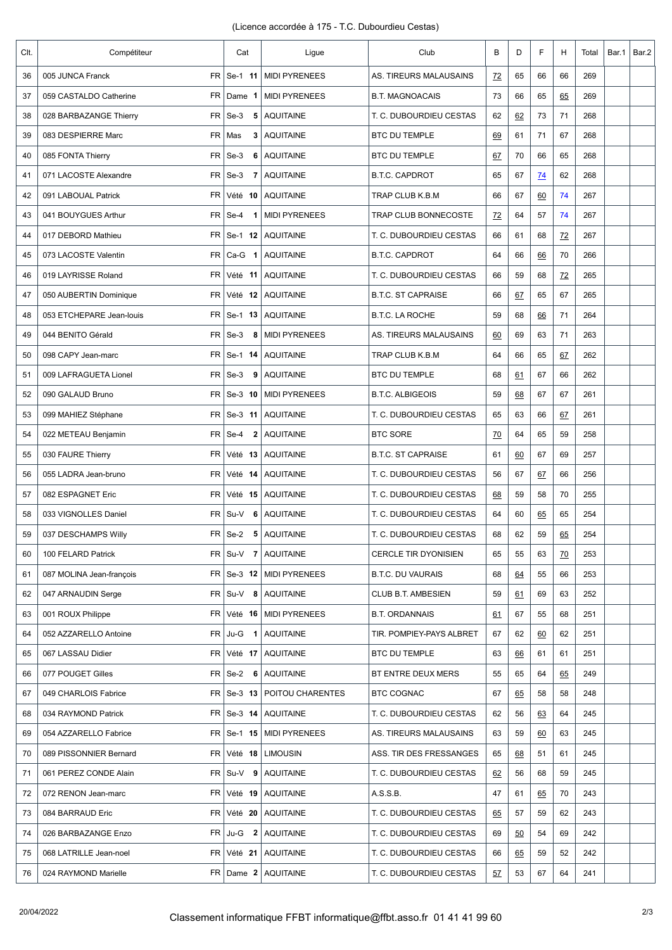| CIt. | Compétiteur                       | Cat                               | Ligue                          | Club                      | B         | D  | F         | н     | Total | Bar.1 | Bar.2 |
|------|-----------------------------------|-----------------------------------|--------------------------------|---------------------------|-----------|----|-----------|-------|-------|-------|-------|
| 36   | <b>FR</b><br>005 JUNCA Franck     | Se-1 11                           | <b>MIDI PYRENEES</b>           | AS. TIREURS MALAUSAINS    | <u>72</u> | 65 | 66        | 66    | 269   |       |       |
| 37   | 059 CASTALDO Catherine            | $FR$ Dame 1                       | <b>MIDI PYRENEES</b>           | <b>B.T. MAGNOACAIS</b>    | 73        | 66 | 65        | 65    | 269   |       |       |
| 38   | 028 BARBAZANGE Thierry            | $FR$ Se-3<br>5                    | <b>AQUITAINE</b>               | T. C. DUBOURDIEU CESTAS   | 62        | 62 | 73        | 71    | 268   |       |       |
| 39   | 083 DESPIERRE Marc                | FR   Mas<br>3                     | <b>AQUITAINE</b>               | <b>BTC DU TEMPLE</b>      | 69        | 61 | 71        | 67    | 268   |       |       |
| 40   | 085 FONTA Thierry<br>FR           | $Se-3$<br>6                       | <b>AQUITAINE</b>               | <b>BTC DU TEMPLE</b>      | 67        | 70 | 66        | 65    | 268   |       |       |
| 41   | 071 LACOSTE Alexandre             | $FR$ Se-3<br>7                    | AQUITAINE                      | <b>B.T.C. CAPDROT</b>     | 65        | 67 | <u>74</u> | 62    | 268   |       |       |
| 42   | 091 LABOUAL Patrick<br>FR I       | Vété 10                           | <b>AQUITAINE</b>               | TRAP CLUB K.B.M           | 66        | 67 | 60        | 74    | 267   |       |       |
| 43   | 041 BOUYGUES Arthur               | $FR$ Se-4<br>$\blacktriangleleft$ | <b>MIDI PYRENEES</b>           | TRAP CLUB BONNECOSTE      | 72        | 64 | 57        | 74    | 267   |       |       |
| 44   | <b>FR</b><br>017 DEBORD Mathieu   | Se-1 12                           | <b>AQUITAINE</b>               | T. C. DUBOURDIEU CESTAS   | 66        | 61 | 68        | $Z^2$ | 267   |       |       |
| 45   | FR I<br>073 LACOSTE Valentin      | $Ca-G$ 1                          | AQUITAINE                      | <b>B.T.C. CAPDROT</b>     | 64        | 66 | <u>66</u> | 70    | 266   |       |       |
| 46   | FR  <br>019 LAYRISSE Roland       | Vété 11                           | <b>AQUITAINE</b>               | T. C. DUBOURDIEU CESTAS   | 66        | 59 | 68        | $Z^2$ | 265   |       |       |
| 47   | 050 AUBERTIN Dominique            | $FR$ Vété 12                      | <b>AQUITAINE</b>               | <b>B.T.C. ST CAPRAISE</b> | 66        | 67 | 65        | 67    | 265   |       |       |
| 48   | 053 ETCHEPARE Jean-louis          | $FR$ Se-1 13                      | <b>AQUITAINE</b>               | <b>B.T.C. LA ROCHE</b>    | 59        | 68 | 66        | 71    | 264   |       |       |
| 49   | 044 BENITO Gérald                 | $FR$ Se-3<br>- 8                  | MIDI PYRENEES                  | AS. TIREURS MALAUSAINS    | 60        | 69 | 63        | 71    | 263   |       |       |
| 50   | 098 CAPY Jean-marc                | $FR$ Se-1 14                      | <b>AQUITAINE</b>               | TRAP CLUB K.B.M           | 64        | 66 | 65        | 67    | 262   |       |       |
| 51   | 009 LAFRAGUETA Lionel             | $FR$ Se-3<br>9                    | <b>AQUITAINE</b>               | <b>BTC DU TEMPLE</b>      | 68        | 61 | 67        | 66    | 262   |       |       |
| 52   | 090 GALAUD Bruno                  | $FR$ Se-3 10                      | MIDI PYRENEES                  | <b>B.T.C. ALBIGEOIS</b>   | 59        | 68 | 67        | 67    | 261   |       |       |
| 53   | 099 MAHIEZ Stéphane<br>FR         | Se-3 11                           | <b>AQUITAINE</b>               | T. C. DUBOURDIEU CESTAS   | 65        | 63 | 66        | 67    | 261   |       |       |
| 54   | <b>FR</b><br>022 METEAU Benjamin  | Se-4<br>$\mathbf{2}$              | <b>AQUITAINE</b>               | <b>BTC SORE</b>           | <u>70</u> | 64 | 65        | 59    | 258   |       |       |
| 55   | <b>FR</b><br>030 FAURE Thierry    | Vété 13                           | <b>AQUITAINE</b>               | <b>B.T.C. ST CAPRAISE</b> | 61        | 60 | 67        | 69    | 257   |       |       |
| 56   | <b>FR</b><br>055 LADRA Jean-bruno | Vété 14                           | <b>AQUITAINE</b>               | T. C. DUBOURDIEU CESTAS   | 56        | 67 | 67        | 66    | 256   |       |       |
| 57   | 082 ESPAGNET Eric<br><b>FR</b>    | Vété 15                           | <b>AQUITAINE</b>               | T. C. DUBOURDIEU CESTAS   | 68        | 59 | 58        | 70    | 255   |       |       |
| 58   | 033 VIGNOLLES Daniel              | $FR$ Su-V<br>6                    | AQUITAINE                      | T. C. DUBOURDIEU CESTAS   | 64        | 60 | 65        | 65    | 254   |       |       |
| 59   | 037 DESCHAMPS Willy               | $FR$ Se-2<br>5                    | AQUITAINE                      | T. C. DUBOURDIEU CESTAS   | 68        | 62 | 59        | 65    | 254   |       |       |
| 60   | 100 FELARD Patrick                |                                   | $FR$ Su-V 7 AQUITAINE          | CERCLE TIR DYONISIEN      | 65        | 55 | 63        | 70    | 253   |       |       |
| 61   | 087 MOLINA Jean-françois          |                                   | $FR$   Se-3 12   MIDI PYRENEES | <b>B.T.C. DU VAURAIS</b>  | 68        | 64 | 55        | 66    | 253   |       |       |
| 62   | 047 ARNAUDIN Serge                | $FR$ Su-V 8                       | AQUITAINE                      | CLUB B.T. AMBESIEN        | 59        | 61 | 69        | 63    | 252   |       |       |
| 63   | 001 ROUX Philippe<br>FR           |                                   | Vété 16   MIDI PYRENEES        | <b>B.T. ORDANNAIS</b>     | <u>61</u> | 67 | 55        | 68    | 251   |       |       |
| 64   | FR  <br>052 AZZARELLO Antoine     | $Ju-G$<br>$\overline{\mathbf{1}}$ | <b>AQUITAINE</b>               | TIR. POMPIEY-PAYS ALBRET  | 67        | 62 | 60        | 62    | 251   |       |       |
| 65   | 067 LASSAU Didier                 | FR Vété 17                        | AQUITAINE                      | BTC DU TEMPLE             | 63        | 66 | 61        | 61    | 251   |       |       |
| 66   | 077 POUGET Gilles                 | $FR$ Se-2 6                       | <b>AQUITAINE</b>               | BT ENTRE DEUX MERS        | 55        | 65 | 64        | 65    | 249   |       |       |
| 67   | 049 CHARLOIS Fabrice              | $FR$ Se-3 13                      | <b>POITOU CHARENTES</b>        | <b>BTC COGNAC</b>         | 67        | 65 | 58        | 58    | 248   |       |       |
| 68   | 034 RAYMOND Patrick               | $FR$ Se-3 14                      | AQUITAINE                      | T. C. DUBOURDIEU CESTAS   | 62        | 56 | <u>63</u> | 64    | 245   |       |       |
| 69   | 054 AZZARELLO Fabrice             |                                   | $FR$   Se-1 15   MIDI PYRENEES | AS. TIREURS MALAUSAINS    | 63        | 59 | 60        | 63    | 245   |       |       |
| 70   | 089 PISSONNIER Bernard            | $FR$ Vété 18                      | <b>LIMOUSIN</b>                | ASS. TIR DES FRESSANGES   | 65        | 68 | 51        | 61    | 245   |       |       |
| 71   | 061 PEREZ CONDE Alain             | $FR$ Su-V 9                       | AQUITAINE                      | T. C. DUBOURDIEU CESTAS   | 62        | 56 | 68        | 59    | 245   |       |       |
| 72   | FR<br>072 RENON Jean-marc         | Vété 19                           | <b>AQUITAINE</b>               | A.S.S.B.                  | 47        | 61 | 65        | 70    | 243   |       |       |
| 73   | 084 BARRAUD Eric<br>FR            | Vété 20                           | AQUITAINE                      | T. C. DUBOURDIEU CESTAS   | <u>65</u> | 57 | 59        | 62    | 243   |       |       |
| 74   | FR  <br>026 BARBAZANGE Enzo       | $Ju-G$ 2                          | <b>AQUITAINE</b>               | T. C. DUBOURDIEU CESTAS   | 69        | 50 | 54        | 69    | 242   |       |       |
| 75   | 068 LATRILLE Jean-noel<br>FR      | Vété 21                           | AQUITAINE                      | T. C. DUBOURDIEU CESTAS   | 66        | 65 | 59        | 52    | 242   |       |       |
| 76   | 024 RAYMOND Marielle              |                                   | $FR$ Dame $2$ AQUITAINE        | T. C. DUBOURDIEU CESTAS   | <u>57</u> | 53 | 67        | 64    | 241   |       |       |